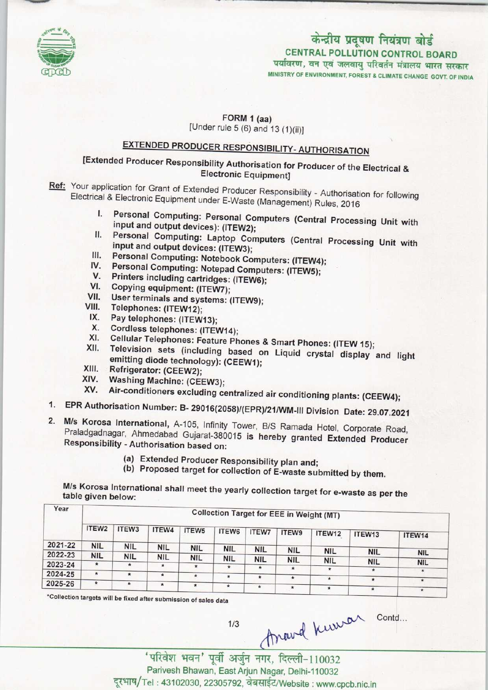

# केन्द्रीय प्रदूषण नियंत्रण बोर्ड CENTRAL POLLUTION CONTROL BOARD<br>पर्यावरण, वन एवं जलवायु परिवर्तन मंत्रालय भारत सरकार

MINISTRY OF ENVIRONMENT, FOREST A CLIMATE CHANGE GOVT. OF INDIA

 $FORM 1 (aa)$ 

[Under rule  $5(6)$  and  $13(1)(ii)$ ]

## EXTENDED PRODUCER RESPONSIBILITY-AUTHORISATION

### [Extended Producer Responsibility Authorisation for Producer of the Electrical & Electronic Equipment]

- Ref: Your application for Grant of Extended Producer Responsibility Authorisation for following Electrical & Electronic Equipment under E-Waste (Management) Rules, 2016
	- I. Personal Computing: Personal Computers (Central Processing Unit with input and output devices): (ITEW2);
	- II. Personal Computing: Laptop Computers (Central Processing Unit with input and output devices: (ITEW3);
	- III. Personal Computing: Notebook Computers: (ITEW4); III. Personal Computing: Notebook Computers: (ITEW4)<br>IV. Personal Computing: Notebook Computers: (ITEW4<br>V. Personal Computing: Notepad Computers: (ITEW5);
	- W. Personal Computing: Notebook Computing<br>V. Personal Computing: Notepad Computing<br>V. Printers including cartridges: (ITEW6);
	- V. Printers including cartridges: (ITEW6);<br>VI. Copying equipment: (ITEW7);
	-
	- VII. User terminals and systems: (ITEW9);
	- VIII. Telephones: (ITEW12);
	- IX. Pay telephones: (ITEW13);
	- X. Cordless telephones: (ITEW14);
	- IX. Pay telephones: (ITEW13);<br>X. Cordless telephones: (ITEW14);<br>XI. Cellular Telephones: Feature Phones & Smart Phones: (ITEW 15);
	- XI. Cordiess telephones: (ITEW14);<br>XI. Cellular Telephones: Feature Phones & Smart Phones: (ITEW 15);<br>XII. Television sets (including based on Liquid crystal display and light emitting diode technology): (CEEW1); XII. Television sets (inclument<br>emitting diode technol<br>XIII. Refrigerator: (CEEW2);
	-
	- XIII. Refrigerator: (CEEW2);<br>XIV. Washing Machine: (CEEW3);<br>XV. Air-conditioners excluding at
	- Air-conditioners excluding centralized air conditioning plants: (CEEW4);
- 1.EPR Authorisation Number: B- 2901G(2058)/(EPR)/21/WM-lll Division Date: 29.07.2021
- 2.M/s Korosa International, A-105, Infinity Tower, B/S Ramada Hotel, Corporate Road, Praladgadnagar, Ahmedabad Gujarat-380015 is hereby granted Extended Producer Responsibility -Authorisation based on:
	- (a)Extended Producer Responsibility plan and;
	- (b) Proposed target for collection of E-waste submitted by them.

M/s Korosa International shall meet the yearly collection target for e-waste as per the table given below:

| Year    | <b>Collection Target for EEE in Weight (MT)</b> |                   |            |                   |            |              |              |               |            |            |  |
|---------|-------------------------------------------------|-------------------|------------|-------------------|------------|--------------|--------------|---------------|------------|------------|--|
|         | ITEW <sub>2</sub>                               | ITEW <sub>3</sub> | ITEW4      | ITEW <sub>5</sub> | ITEW6      | <b>ITEW7</b> | <b>ITEW9</b> | ITEW12        | ITEW13     | ITEW14     |  |
| 2021-22 | <b>NIL</b>                                      | <b>NIL</b>        | <b>NIL</b> | <b>NIL</b>        |            |              |              |               |            |            |  |
| 2022-23 | <b>NIL</b>                                      |                   |            |                   | <b>NIL</b> | <b>NIL</b>   | <b>NIL</b>   | <b>NIL</b>    | <b>NIL</b> | <b>NIL</b> |  |
|         |                                                 | <b>NIL</b>        | <b>NIL</b> | <b>NIL</b>        | <b>NIL</b> | <b>NIL</b>   | <b>NIL</b>   | <b>NIL</b>    | <b>NIL</b> | <b>NIL</b> |  |
| 2023-24 | $\star$                                         | $\star$           | $\star$    | $\star$           | $\star$    | *            | $\star$      | $\star$       |            |            |  |
| 2024-25 | $\star$                                         | $\star$           | $\star$    | $\star$           | $\star$    |              |              |               |            | $\star$    |  |
|         |                                                 |                   |            |                   |            | $\ast$       | $\star$      | $\star$       |            | *          |  |
| 2025-26 | $\star$                                         | ۰                 | $\star$    | $\star$           | $\star$    | $\star$      | $\star$      | $\frac{1}{2}$ | $\star$    | $\star$    |  |

\*Collection targets will be fixed after submission of sales data

 $1/3$ 

Anavel Kuwar conta...

'परिवेश भवन' पूर्वी अर्जुन नगर, दिल्ली-110032<br>Parivesh Bhawan, East Arjun Nagar, Delhi-110032 दूरभाष/Tel: 43102030, 22305792, वेबसाईट/Website: www.cpcb.nic.in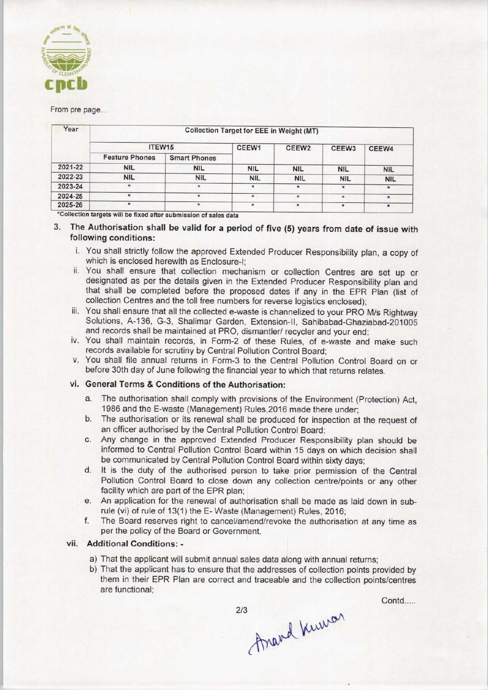

#### From pre page..

| Year    | <b>Collection Target for EEE in Weight (MT)</b> |                     |            |                    |                   |              |  |  |  |  |
|---------|-------------------------------------------------|---------------------|------------|--------------------|-------------------|--------------|--|--|--|--|
|         | ITEW15                                          |                     | CEEW1      | CEEW <sub>2</sub>  | CEEW <sub>3</sub> | <b>CEEW4</b> |  |  |  |  |
|         | <b>Feature Phones</b>                           | <b>Smart Phones</b> |            |                    |                   |              |  |  |  |  |
| 2021-22 | <b>NIL</b>                                      | <b>NIL</b>          | <b>NIL</b> | <b>NIL</b>         | <b>NIL</b>        | <b>NIL</b>   |  |  |  |  |
| 2022-23 | <b>NIL</b>                                      | <b>NIL</b>          | <b>NIL</b> | <b>NIL</b>         | <b>NIL</b>        | <b>NIL</b>   |  |  |  |  |
| 2023-24 | ٠                                               | $\star$             | $\star$    | $\star$            | $\pmb{\pi}$       | *            |  |  |  |  |
| 2024-25 |                                                 |                     | $\star$    | $\hat{\mathbf{x}}$ | *                 | ٠            |  |  |  |  |
| 2025-26 | $\star$                                         |                     |            | $\pmb{\ast}$       | $\star$           | $\star$      |  |  |  |  |

#### 3. The Authorisation shall be valid for a period of five (5) years from date of issue with following conditions:

- i. You shall strictly follow the approved Extended Producer Responsibility plan, a copy of which is enclosed herewith as Enclosure-I;
- ii. You shall ensure that collection mechanism or collection Centres are set up or designated as per the details given in the Extended Producer Responsibility plan and that shall be completed before the proposed dates if any in the EPR Plan (list of collection Centres and the toll free numbers for reverse logistics enclosed);
- iii. You shall ensure that all the collected e-waste is channelized to your PRO M/s Rightway Solutions, A-136, G-3, Shalimar Garden, Extension-ll, Sahibabad-Ghaziabad-201005 and records shall be maintained at PRO, dismantler/ recycler and your end;
- iv. You shall maintain records, in Form-2 of these Rules, of e-waste and make such records available for scrutiny by Central Pollution Control Board;
- v. You shall file annual returns in Form-3 to the Central Pollution Control Board on or before 30th day of June following the financial year to which that returns relates.

#### vi. General Terms & Conditions of the Authorisation:

- a.The authorisation shall comply with provisions of the Environment (Protection) Act, 1986 and the E-waste (Management) Rules,2016 made there under;
- b.The authorisation or its renewal shall be produced for inspection at the request of an officer authorised by the Central Pollution Control Board;
- c.Any change in the approved Extended Producer Responsibility plan should be informed to Central Pollution Control Board within 15 days on which decision shall be communicated by Central Pollution Control Board within sixty days;
- d. It is the duty of the authorised person to take prior permission of the Central Pollution Control Board to close down any collection centre/points or any other facility which are part of the EPR plan;
- e.An application for the renewal of authorisation shall be made as laid down in subrule (vi) of rule of 13(1) the E- Waste (Management) Rules, 2016;
- f. The Board reserves right to cancel/amend/revoke the authorisation at any time as per the policy of the Board or Government.

#### vii. Additional Conditions: -

- a) That the applicant will submit annual sales data along with annual returns;
- b)That the applicant has to ensure that the addresses of collection points provided by them in their EPR Plan are correct and traceable and the collection points/centres are functional;

Contd.....

thand know